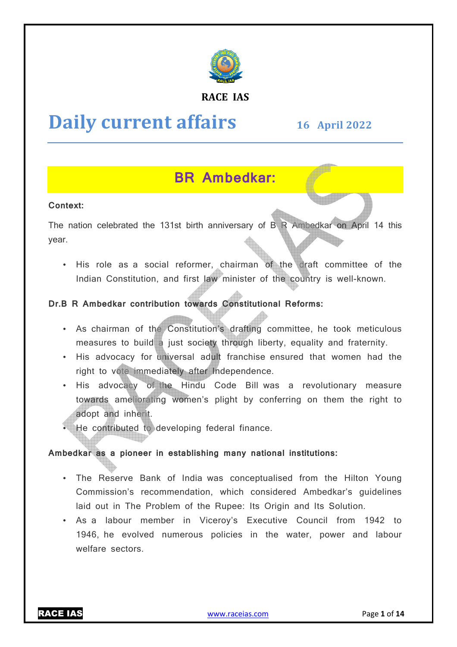

#### **RACE IAS**

# **Daily current affairs**

# **16 April April 2022**

# **BR Ambedkar:**

#### **Context:**

The nation celebrated the 131st birth anniversary of B R Ambedkar on April 14 this year.

• His role as a social reformer, chairman of the draft committee of the Indian Constitution, and first law minister of the country is well-known.

#### Dr.B R Ambedkar contribution towards Constitutional Reforms:

- As chairman of the Constitution's drafting committee, he took meticulous measures to build a just society through liberty, equality and fraternity.
- His advocacy for universal adult franchise ensured that women had the right to vote immediately after Independence.
- His advocacy of the Hindu Code Bill was a revolutionary measure towards ameliorating women's plight by conferring on them the right to adopt and inherit.
- He contributed to developing federal finance.

#### **Ambedkar as a pioneer in establishing many national institutions:**

- The Reserve Bank of India was conceptualised from the Hilton Young Commission's recommendation, which considered Ambedkar's guidelines laid out in The Problem of the Rupee: Its Origin and Its Solution.
- As a labour member in Viceroy's Executive Council from 1942 to 1946, he evolved numerous policies in the water, power and labour welfare sectors.

RACE IAS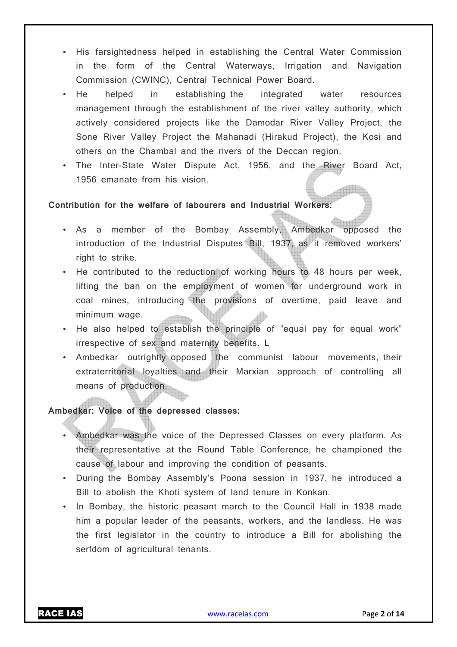- His farsightedness helped in establishing the Central Water Commission in the form of the Central Waterways, Irrigation and Navigation Commission (CWINC), Central Technical Power Board.
- He helped in establishing the integrated water resources management through the establishment of the river valley authority, which actively considered projects like the Damodar River Valley Project, the Sone River Valley Project the Mahanadi (Hirakud Project), the Kosi and others on the Chambal and the rivers of the Deccan region.
- The Inter-State Water Dispute Act, 1956, and the River Board Act, 1956 emanate from his vision.

#### **Contribution for the welfare of labourers and Industrial Workers:**

- As a member of the Bombay Assembly, Ambedkar opposed the introduction of the Industrial Disputes Bill, 1937, as it removed workers' right to strike.
- He contributed to the reduction of working hours to 48 hours per week, lifting the ban on the employment of women for underground work in coal mines, introducing the provisions of overtime, paid leave and minimum wage.
- He also helped to establish the principle of "equal pay for equal work" irrespective of sex and maternity benefits. L
- Ambedkar outrightly opposed the communist labour movements, their extraterritorial loyalties and their Marxian approach of controlling all means of production.

#### **Ambedkar: Voice of the depressed classes:**

- Ambedkar was the voice of the Depressed Classes on every platform. As their representative at the Round Table Conference, he championed the cause of labour and improving the condition of peasants.
- During the Bombay Assembly's Poona session in 1937, he introduced a Bill to abolish the Khoti system of land tenure in Konkan.
- In Bombay, the historic peasant march to the Council Hall in 1938 made him a popular leader of the peasants, workers, and the landless. He was the first legislator in the country to introduce a Bill for abolishing the serfdom of agricultural tenants.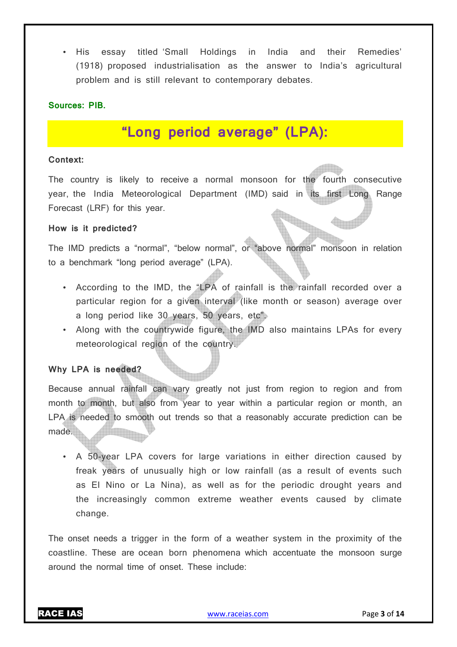• His essay titled 'Small Holdings in India and their Remedies' (1918) proposed industrialisation as the answer to India's agricultural problem and is still relevant to contemporary debates.

#### **Sources: PIB.**

# **"Long period average" (LPA):**

#### **Context:**

The country is likely to receive a normal monsoon for the fourth consecutive year, the India Meteorological Department (IMD) said in its first Long Range Forecast (LRF) for this year.

#### **How is it predicted?**

The IMD predicts a "normal", "below normal", or "above normal" monsoon in relation to a benchmark "long period average" (LPA).

- According to the IMD, the "LPA of rainfall is the rainfall recorded over a particular region for a given interval (like month or season) average over a long period like 30 years, 50 years, etc".
- Along with the countrywide figure, the IMD also maintains LPAs for every meteorological region of the country.

#### **Why LPA is needed?**

Because annual rainfall can vary greatly not just from region to region and from month to month, but also from year to year within a particular region or month, an LPA is needed to smooth out trends so that a reasonably accurate prediction can be made.

• A 50-year LPA covers for large variations in either direction caused by freak years of unusually high or low rainfall (as a result of events such as El Nino or La Nina), as well as for the periodic drought years and the increasingly common extreme weather events caused by climate change.

The onset needs a trigger in the form of a weather system in the proximity of the coastline. These are ocean born phenomena which accentuate the monsoon surge around the normal time of onset. These include: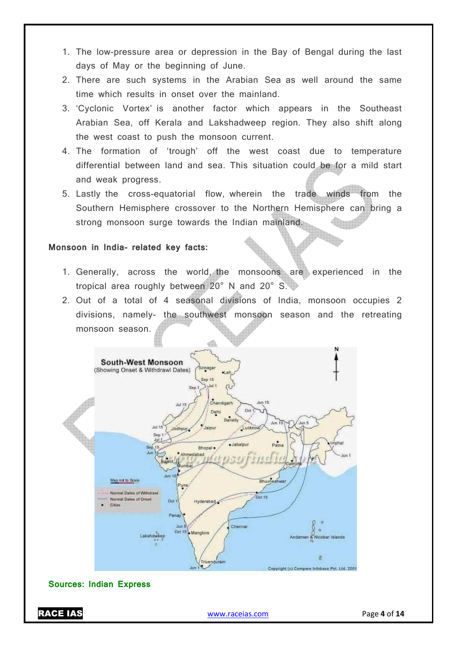- 1. The low-pressure area or depression in the Bay of Bengal during the last days of May or the beginning of June.
- 2. There are such systems in the Arabian Sea as well around the same time which results in onset over the mainland.
- 3. 'Cyclonic Vortex' is another factor which appears in the Southeast Arabian Sea, off Kerala and Lakshadweep region. They also shift along the west coast to push the monsoon current.
- 4. The formation of 'trough' off the west coast due to temperature differential between land and sea. This situation could be for a mild start and weak progress.
- 5. Lastly the cross-equatorial flow, wherein the trade winds from the Southern Hemisphere crossover to the Northern Hemisphere can bring a strong monsoon surge towards the Indian mainland.

#### **Monsoon in India- related key facts:**

- 1. Generally, across the world, the monsoons are experienced in the tropical area roughly between 20° N and 20° S.
- 2. Out of a total of 4 seasonal divisions of India, monsoon occupies 2 divisions, namely- the southwest monsoon season and the retreating monsoon season.



#### **Sources: Indian Express**

RACE IAS www.raceias.com Page **4** of **14**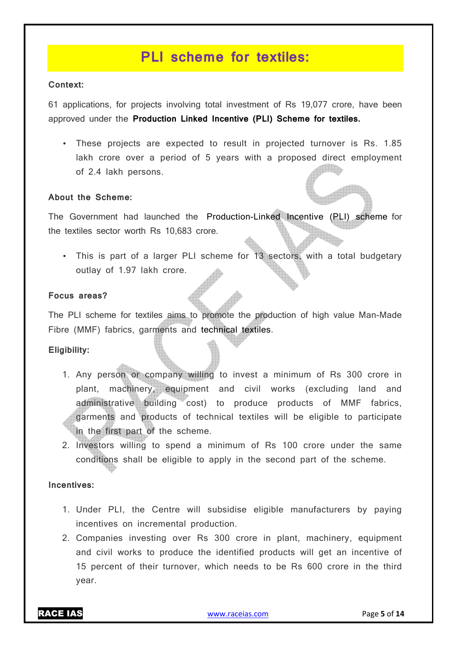## **PLI scheme for textiles:**

#### **Context:**

61 applications, for projects involving total investment of Rs 19,077 crore, have been approved under the **Production Linked Incentive (PLI) Scheme for textiles.**

• These projects are expected to result in projected turnover is Rs. 1.85 lakh crore over a period of 5 years with a proposed direct employment of 2.4 lakh persons.

#### **About the Scheme:**

The Government had launched the Production-Linked Incentive (PLI) scheme for the textiles sector worth Rs 10,683 crore.

• This is part of a larger PLI scheme for 13 sectors, with a total budgetary outlay of 1.97 lakh crore.

#### **Focus areas?**

The PLI scheme for textiles aims to promote the production of high value Man-Made Fibre (MMF) fabrics, garments and technical textiles.

#### **Eligibility:**

- 1. Any person or company willing to invest a minimum of Rs 300 crore in plant, machinery, equipment and civil works (excluding land and administrative building cost) to produce products of MMF fabrics, garments and products of technical textiles will be eligible to participate in the first part of the scheme.
- 2. Investors willing to spend a minimum of Rs 100 crore under the same conditions shall be eligible to apply in the second part of the scheme.

#### **Incentives:**

- 1. Under PLI, the Centre will subsidise eligible manufacturers by paying incentives on incremental production.
- 2. Companies investing over Rs 300 crore in plant, machinery, equipment and civil works to produce the identified products will get an incentive of 15 percent of their turnover, which needs to be Rs 600 crore in the third year.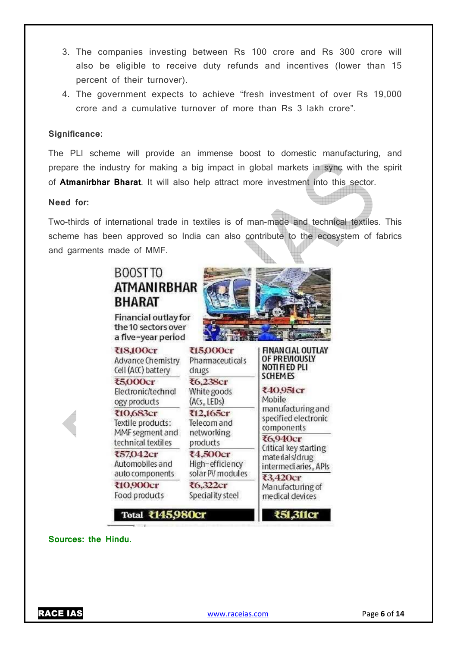- 3. The companies investing between Rs 100 crore and Rs 300 crore will also be eligible to receive duty refunds and incentives (lower than 15 percent of their turnover).
- 4. The government expects to achieve "fresh investment of over Rs 19,000 crore and a cumulative turnover of more than Rs 3 lakh crore".

#### **Significance:**

The PLI scheme will provide an immense boost to domestic manufacturing, and prepare the industry for making a big impact in global markets in sync with the spirit of **Atmanirbhar Bharat**. It will also help attract more investment into this sector.

#### **Need for:**

Two-thirds of international trade in textiles is of man-made and technical textiles. This scheme has been approved so India can also contribute to the ecosystem of fabrics and garments made of MMF.



**Sources: the Hindu.**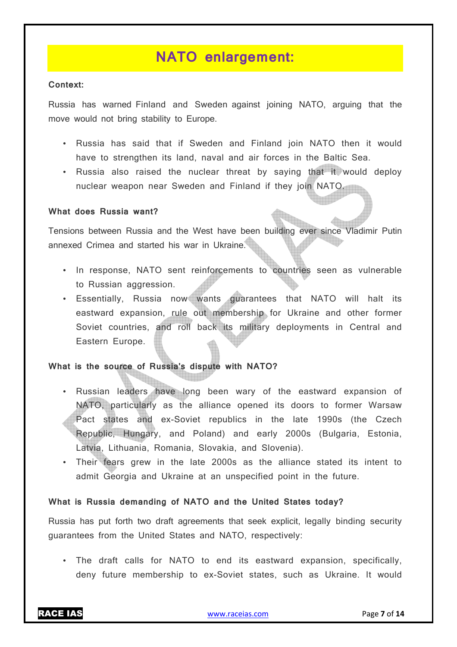# **NATO enlargement:**

#### **Context:**

Russia has warned Finland and Sweden against joining NATO, arguing that the move would not bring stability to Europe.

- Russia has said that if Sweden and Finland join NATO then it would have to strengthen its land, naval and air forces in the Baltic Sea.
- Russia also raised the nuclear threat by saying that it would deploy nuclear weapon near Sweden and Finland if they join NATO.

#### **What does Russia want?**

Tensions between Russia and the West have been building ever since Vladimir Putin annexed Crimea and started his war in Ukraine.

- In response, NATO sent reinforcements to countries seen as vulnerable to Russian aggression.
- Essentially, Russia now wants guarantees that NATO will halt its eastward expansion, rule out membership for Ukraine and other former Soviet countries, and roll back its military deployments in Central and Eastern Europe.

#### **What is the source of Russia's dispute with NATO?**

- Russian leaders have long been wary of the eastward expansion of NATO, particularly as the alliance opened its doors to former Warsaw Pact states and ex-Soviet republics in the late 1990s (the Czech Republic, Hungary, and Poland) and early 2000s (Bulgaria, Estonia, Latvia, Lithuania, Romania, Slovakia, and Slovenia).
- Their fears grew in the late 2000s as the alliance stated its intent to admit Georgia and Ukraine at an unspecified point in the future.

#### **What is Russia demanding of NATO and the United States today?**

Russia has put forth two draft agreements that seek explicit, legally binding security guarantees from the United States and NATO, respectively:

• The draft calls for NATO to end its eastward expansion, specifically, deny future membership to ex-Soviet states, such as Ukraine. It would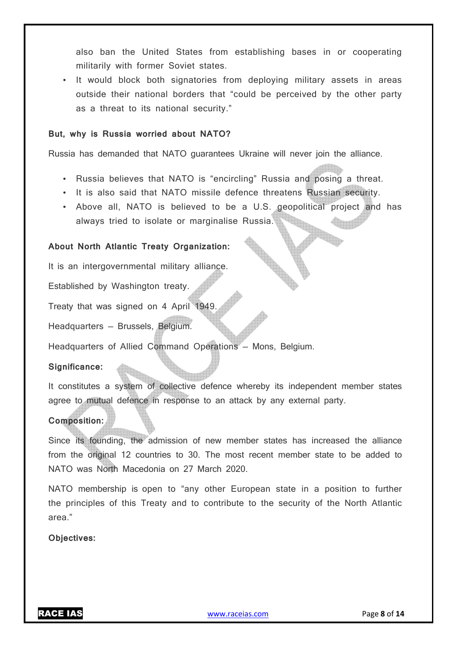also ban the United States from establishing bases in or cooperating militarily with former Soviet states.

• It would block both signatories from deploying military assets in areas outside their national borders that "could be perceived by the other party as a threat to its national security."

#### **But, why is Russia worried about NATO?**

Russia has demanded that NATO guarantees Ukraine will never join the alliance.

- Russia believes that NATO is "encircling" Russia and posing a threat.
- It is also said that NATO missile defence threatens Russian security.
- Above all, NATO is believed to be a U.S. geopolitical project and has always tried to isolate or marginalise Russia.

#### **About North Atlantic Treaty Organization:**

It is an intergovernmental military alliance.

Established by Washington treaty.

Treaty that was signed on 4 April 1949.

Headquarters — Brussels, Belgium.

Headquarters of Allied Command Operations — Mons, Belgium.

#### **Significance:**

It constitutes a system of collective defence whereby its independent member states agree to mutual defence in response to an attack by any external party.

#### **Composition:**

Since its founding, the admission of new member states has increased the alliance from the original 12 countries to 30. The most recent member state to be added to NATO was North Macedonia on 27 March 2020.

NATO membership is open to "any other European state in a position to further the principles of this Treaty and to contribute to the security of the North Atlantic area."

**Objectives:**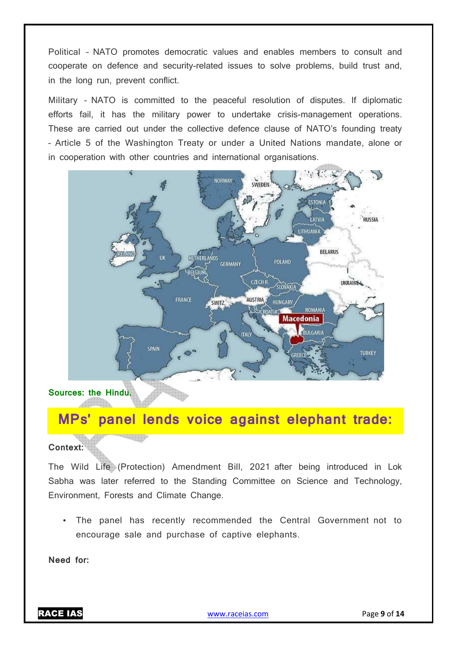Political – NATO promotes democratic values and enables members to consult and cooperate on defence and security-related issues to solve problems, build trust and, in the long run, prevent conflict.

Military – NATO is committed to the peaceful resolution of disputes. If diplomatic efforts fail, it has the military power to undertake crisis-management operations. These are carried out under the collective defence clause of NATO's founding treaty – Article 5 of the Washington Treaty or under a United Nations mandate, alone or in cooperation with other countries and international organisations.



**Sources: the Hindu.** <u>Additional De</u>

a a a a a a a a a

## **MPs' panel lends voice against elephant trade:**

#### **Context:**

The Wild Life (Protection) Amendment Bill, 2021 after being introduced in Lok Sabha was later referred to the Standing Committee on Science and Technology, Environment, Forests and Climate Change.

• The panel has recently recommended the Central Government not to encourage sale and purchase of captive elephants.

**Need for:**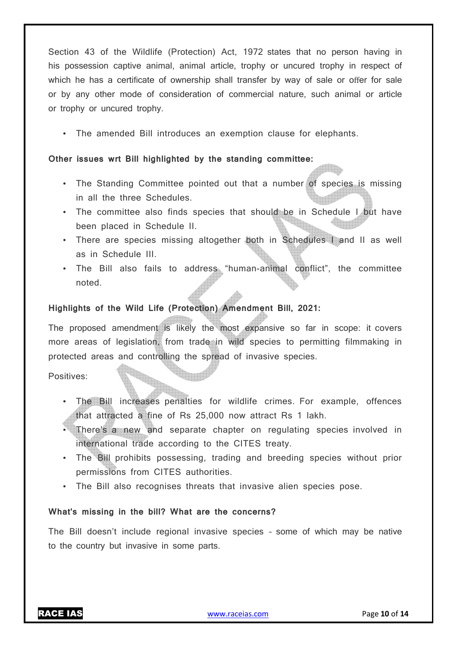Section 43 of the Wildlife (Protection) Act, 1972 states that no person having in his possession captive animal, animal article, trophy or uncured trophy in respect of which he has a certificate of ownership shall transfer by way of sale or offer for sale or by any other mode of consideration of commercial nature, such animal or article or trophy or uncured trophy.

• The amended Bill introduces an exemption clause for elephants.

#### **Other issues wrt Bill highlighted by the standing committee:**

- The Standing Committee pointed out that a number of species is missing in all the three Schedules.
- The committee also finds species that should be in Schedule I but have been placed in Schedule II.
- There are species missing altogether both in Schedules I and II as well as in Schedule III.
- The Bill also fails to address "human-animal conflict", the committee noted.

#### **Highlights of the Wild Life (Protection) Amendment Bill, 2021:**

The proposed amendment is likely the most expansive so far in scope: it covers more areas of legislation, from trade in wild species to permitting filmmaking in protected areas and controlling the spread of invasive species.

Positives:

- The Bill increases penalties for wildlife crimes. For example, offences that attracted a fine of Rs 25,000 now attract Rs 1 lakh.
- There's a new and separate chapter on regulating species involved in international trade according to the CITES treaty.
- The Bill prohibits possessing, trading and breeding species without prior permissions from CITES authorities.
- The Bill also recognises threats that invasive alien species pose.

#### **What's missing in the bill? What are the concerns?**

The Bill doesn't include regional invasive species – some of which may be native to the country but invasive in some parts.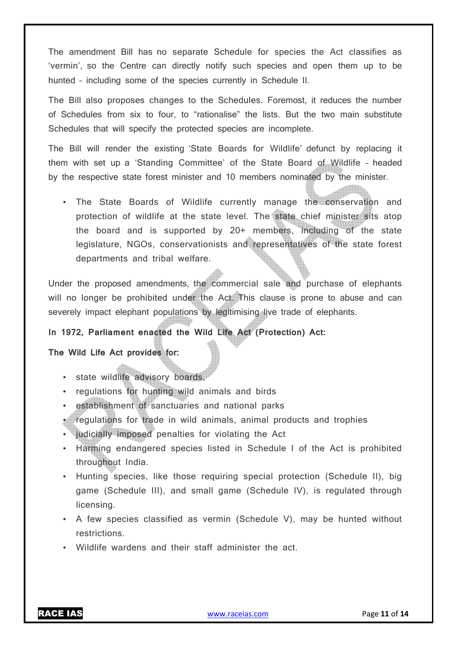The amendment Bill has no separate Schedule for species the Act classifies as 'vermin', so the Centre can directly notify such species and open them up to be hunted – including some of the species currently in Schedule II.

The Bill also proposes changes to the Schedules. Foremost, it reduces the number of Schedules from six to four, to "rationalise" the lists. But the two main substitute Schedules that will specify the protected species are incomplete.

The Bill will render the existing 'State Boards for Wildlife' defunct by replacing it them with set up a 'Standing Committee' of the State Board of Wildlife – headed by the respective state forest minister and 10 members nominated by the minister.

• The State Boards of Wildlife currently manage the conservation and protection of wildlife at the state level. The state chief minister sits atop the board and is supported by 20+ members, including of the state legislature, NGOs, conservationists and representatives of the state forest departments and tribal welfare.

Under the proposed amendments, the commercial sale and purchase of elephants will no longer be prohibited under the Act. This clause is prone to abuse and can severely impact elephant populations by legitimising live trade of elephants.

#### **In 1972, Parliament enacted the Wild Life Act (Protection) Act:**

#### **The Wild Life Act provides for:**

- state wildlife advisory boards,
- regulations for hunting wild animals and birds
- establishment of sanctuaries and national parks
- regulations for trade in wild animals, animal products and trophies
- judicially imposed penalties for violating the Act
- Harming endangered species listed in Schedule I of the Act is prohibited throughout India.
- Hunting species, like those requiring special protection (Schedule II), big game (Schedule III), and small game (Schedule IV), is regulated through licensing.
- A few species classified as vermin (Schedule V), may be hunted without restrictions.
- Wildlife wardens and their staff administer the act.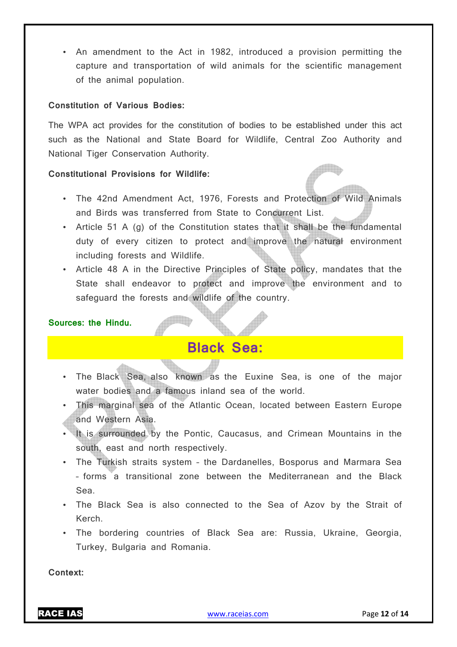• An amendment to the Act in 1982, introduced a provision permitting the capture and transportation of wild animals for the scientific management of the animal population.

#### **Constitution of Various Bodies:**

The WPA act provides for the constitution of bodies to be established under this act such as the National and State Board for Wildlife, Central Zoo Authority and National Tiger Conservation Authority.

#### **Constitutional Provisions for Wildlife:**

- The 42nd Amendment Act, 1976, Forests and Protection of Wild Animals and Birds was transferred from State to Concurrent List.
- Article 51 A (g) of the Constitution states that it shall be the fundamental duty of every citizen to protect and improve the natural environment including forests and Wildlife.
- Article 48 A in the Directive Principles of State policy, mandates that the State shall endeavor to protect and improve the environment and to safeguard the forests and wildlife of the country.

#### **Sources: the Hindu.**

# **Black Sea:**

<u>e de l</u>

- The Black Sea, also known as the Euxine Sea, is one of the major water bodies and a famous inland sea of the world.
- This marginal sea of the Atlantic Ocean, located between Eastern Europe and Western Asia.
- It is surrounded by the Pontic, Caucasus, and Crimean Mountains in the south, east and north respectively.
- The Turkish straits system the Dardanelles, Bosporus and Marmara Sea – forms a transitional zone between the Mediterranean and the Black Sea.
- The Black Sea is also connected to the Sea of Azov by the Strait of Kerch.
- The bordering countries of Black Sea are: Russia, Ukraine, Georgia, Turkey, Bulgaria and Romania.

**Context:**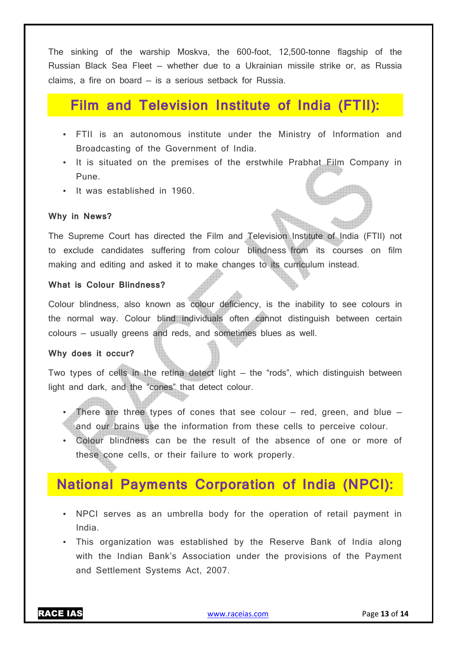The sinking of the warship Moskva, the 600-foot, 12,500-tonne flagship of the Russian Black Sea Fleet — whether due to a Ukrainian missile strike or, as Russia claims, a fire on board — is a serious setback for Russia.

### **Film and Television Institute of India (FTII):**

- FTII is an autonomous institute under the Ministry of Information and Broadcasting of the Government of India.
- It is situated on the premises of the erstwhile Prabhat Film Company in Pune.
- It was established in 1960.

#### **Why in News?**

The Supreme Court has directed the Film and Television Institute of India (FTII) not to exclude candidates suffering from colour blindness from its courses on film making and editing and asked it to make changes to its curriculum instead.

#### **What is Colour Blindness?**

Colour blindness, also known as colour deficiency, is the inability to see colours in the normal way. Colour blind individuals often cannot distinguish between certain colours — usually greens and reds, and sometimes blues as well.

#### **Why does it occur?**

Two types of cells in the retina detect light — the "rods", which distinguish between light and dark, and the "cones" that detect colour.

- There are three types of cones that see colour  $-$  red, green, and blue  $$ and our brains use the information from these cells to perceive colour.
- Colour blindness can be the result of the absence of one or more of these cone cells, or their failure to work properly.

### **National Payments Corporation of India (NPCI):**

- NPCI serves as an umbrella body for the operation of retail payment in India.
- This organization was established by the Reserve Bank of India along with the Indian Bank's Association under the provisions of the Payment and Settlement Systems Act, 2007.